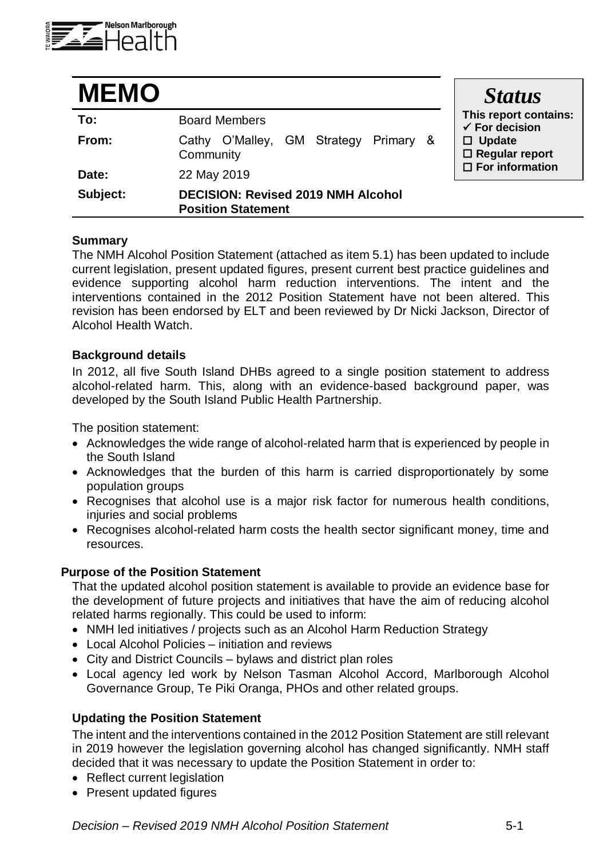

| <b>MEMO</b> |                                                                        | <b>Status</b>                                                                                                             |
|-------------|------------------------------------------------------------------------|---------------------------------------------------------------------------------------------------------------------------|
| To:         | <b>Board Members</b>                                                   | This report contains:<br>$\checkmark$ For decision<br>$\Box$ Update<br>$\Box$ Regular report<br>$\square$ For information |
| From:       | O'Malley, GM Strategy Primary &<br>Cathy<br>Community                  |                                                                                                                           |
| Date:       | 22 May 2019                                                            |                                                                                                                           |
| Subject:    | <b>DECISION: Revised 2019 NMH Alcohol</b><br><b>Position Statement</b> |                                                                                                                           |

# **Summary**

The NMH Alcohol Position Statement (attached as item 5.1) has been updated to include current legislation, present updated figures, present current best practice guidelines and evidence supporting alcohol harm reduction interventions. The intent and the interventions contained in the 2012 Position Statement have not been altered. This revision has been endorsed by ELT and been reviewed by Dr Nicki Jackson, Director of Alcohol Health Watch.

### **Background details**

In 2012, all five South Island DHBs agreed to a single position statement to address alcohol-related harm. This, along with an evidence-based background paper, was developed by the South Island Public Health Partnership.

The position statement:

- Acknowledges the wide range of alcohol-related harm that is experienced by people in the South Island
- Acknowledges that the burden of this harm is carried disproportionately by some population groups
- Recognises that alcohol use is a major risk factor for numerous health conditions, injuries and social problems
- Recognises alcohol-related harm costs the health sector significant money, time and resources.

# **Purpose of the Position Statement**

That the updated alcohol position statement is available to provide an evidence base for the development of future projects and initiatives that have the aim of reducing alcohol related harms regionally. This could be used to inform:

- NMH led initiatives / projects such as an Alcohol Harm Reduction Strategy
- Local Alcohol Policies initiation and reviews
- City and District Councils bylaws and district plan roles
- Local agency led work by Nelson Tasman Alcohol Accord, Marlborough Alcohol Governance Group, Te Piki Oranga, PHOs and other related groups.

#### **Updating the Position Statement**

The intent and the interventions contained in the 2012 Position Statement are still relevant in 2019 however the legislation governing alcohol has changed significantly. NMH staff decided that it was necessary to update the Position Statement in order to:

- Reflect current legislation
- Present updated figures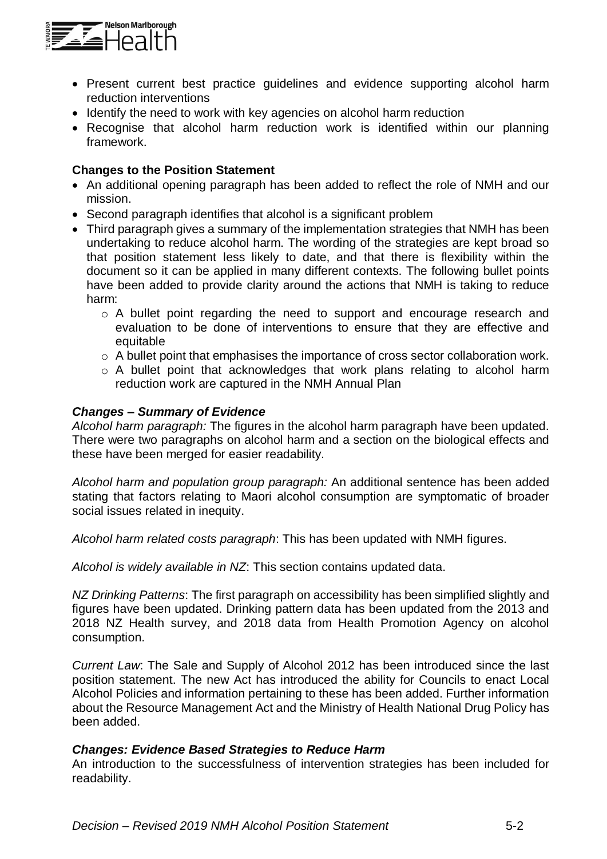

- Present current best practice quidelines and evidence supporting alcohol harm reduction interventions
- Identify the need to work with key agencies on alcohol harm reduction
- Recognise that alcohol harm reduction work is identified within our planning framework.

# **Changes to the Position Statement**

- An additional opening paragraph has been added to reflect the role of NMH and our mission.
- Second paragraph identifies that alcohol is a significant problem
- Third paragraph gives a summary of the implementation strategies that NMH has been undertaking to reduce alcohol harm. The wording of the strategies are kept broad so that position statement less likely to date, and that there is flexibility within the document so it can be applied in many different contexts. The following bullet points have been added to provide clarity around the actions that NMH is taking to reduce harm:
	- o A bullet point regarding the need to support and encourage research and evaluation to be done of interventions to ensure that they are effective and equitable
	- o A bullet point that emphasises the importance of cross sector collaboration work.
	- o A bullet point that acknowledges that work plans relating to alcohol harm reduction work are captured in the NMH Annual Plan

### *Changes – Summary of Evidence*

*Alcohol harm paragraph:* The figures in the alcohol harm paragraph have been updated. There were two paragraphs on alcohol harm and a section on the biological effects and these have been merged for easier readability.

*Alcohol harm and population group paragraph:* An additional sentence has been added stating that factors relating to Maori alcohol consumption are symptomatic of broader social issues related in inequity.

*Alcohol harm related costs paragraph*: This has been updated with NMH figures.

*Alcohol is widely available in NZ*: This section contains updated data.

*NZ Drinking Patterns*: The first paragraph on accessibility has been simplified slightly and figures have been updated. Drinking pattern data has been updated from the 2013 and 2018 NZ Health survey, and 2018 data from Health Promotion Agency on alcohol consumption.

*Current Law*: The Sale and Supply of Alcohol 2012 has been introduced since the last position statement. The new Act has introduced the ability for Councils to enact Local Alcohol Policies and information pertaining to these has been added. Further information about the Resource Management Act and the Ministry of Health National Drug Policy has been added.

# *Changes: Evidence Based Strategies to Reduce Harm*

An introduction to the successfulness of intervention strategies has been included for readability.